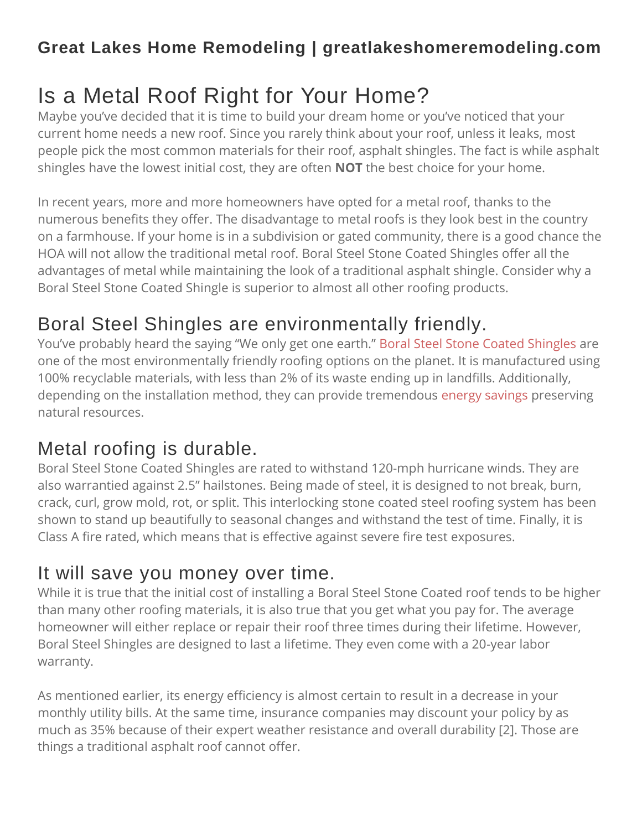#### **Great Lakes Home Remodeling | greatlakeshomeremodeling.com**

# Is a Metal Roof Right for Your Home?

Maybe you've decided that it is time to build your dream home or you've noticed that your current home needs a new roof. Since you rarely think about your roof, unless it leaks, most people pick the most common materials for their roof, asphalt shingles. The fact is while asphalt shingles have the lowest initial cost, they are often **NOT** the best choice for your home.

In recent years, more and more homeowners have opted for a metal roof, thanks to the numerous benefits they offer. The disadvantage to metal roofs is they look best in the country on a farmhouse. If your home is in a subdivision or gated community, there is a good chance the HOA will not allow the traditional metal roof. Boral Steel Stone Coated Shingles offer all the advantages of metal while maintaining the look of a traditional asphalt shingle. Consider why a Boral Steel Stone Coated Shingle is superior to almost all other roofing products.

## Boral Steel Shingles are environmentally friendly.

You've probably heard the saying "We only get one earth." Boral Steel Stone Coated [Shingles](https://vinyldesigncorp.com/metal-roofing/) are one of the most environmentally friendly roofing options on the planet. It is manufactured using 100% recyclable materials, with less than 2% of its waste ending up in landfills. Additionally, depending on the installation method, they can provide tremendous energy [savings](https://vinyldesigncorp.com/vinyl-design-celebrates-a-pearl-certification/) preserving natural resources.

## Metal roofing is durable.

Boral Steel Stone Coated Shingles are rated to withstand 120-mph hurricane winds. They are also warrantied against 2.5" hailstones. Being made of steel, it is designed to not break, burn, crack, curl, grow mold, rot, or split. This interlocking stone coated steel roofing system has been shown to stand up beautifully to seasonal changes and withstand the test of time. Finally, it is Class A fire rated, which means that is effective against severe fire test exposures.

#### It will save you money over time.

While it is true that the initial cost of installing a Boral Steel Stone Coated roof tends to be higher than many other roofing materials, it is also true that you get what you pay for. The average homeowner will either replace or repair their roof three times during their lifetime. However, Boral Steel Shingles are designed to last a lifetime. They even come with a 20-year labor warranty.

As mentioned earlier, its energy efficiency is almost certain to result in a decrease in your monthly utility bills. At the same time, insurance companies may discount your policy by as much as 35% because of their expert weather resistance and overall durability [2]. Those are things a traditional asphalt roof cannot offer.